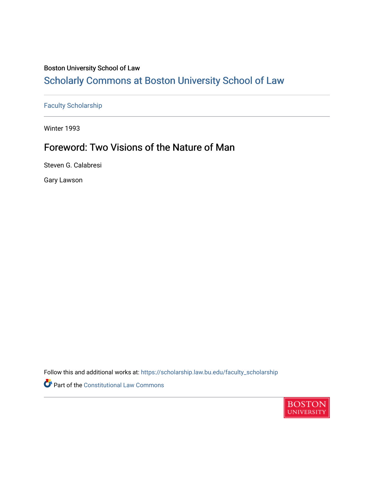## Boston University School of Law

# [Scholarly Commons at Boston University School of Law](https://scholarship.law.bu.edu/)

[Faculty Scholarship](https://scholarship.law.bu.edu/faculty_scholarship)

Winter 1993

## Foreword: Two Visions of the Nature of Man

Steven G. Calabresi

Gary Lawson

Follow this and additional works at: [https://scholarship.law.bu.edu/faculty\\_scholarship](https://scholarship.law.bu.edu/faculty_scholarship?utm_source=scholarship.law.bu.edu%2Ffaculty_scholarship%2F2683&utm_medium=PDF&utm_campaign=PDFCoverPages)

Part of the Constitutional Law Commons

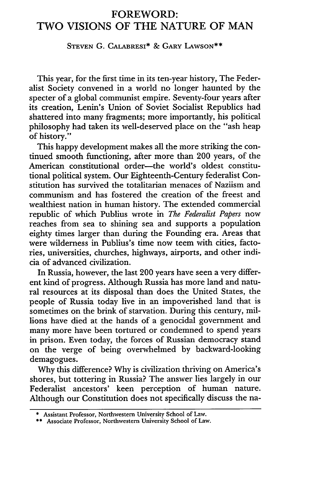## FOREWORD: TWO VISIONS OF THE NATURE OF MAN

#### **STEVEN** G. CALABRESI\* **&** GARY **LAWSON\*\***

This year, for the first time in its ten-year history, The Federalist Society convened in a world no longer haunted by the specter of a global communist empire. Seventy-four years after its creation, Lenin's Union of Soviet Socialist Republics had shattered into many fragments; more importantly, his political philosophy had taken its well-deserved place on the "ash heap of history."

This happy development makes all the more striking the continued smooth functioning, after more than 200 years, of the American constitutional order-the world's oldest constitutional political system. Our Eighteenth-Century federalist Constitution has survived the totalitarian menaces of Naziism and communism and has fostered the creation of the freest and wealthiest nation in human history. The extended commercial republic of which Publius wrote in *The Federalist Papers* now reaches from sea to shining sea and supports a population eighty times larger than during the Founding era. Areas that were wilderness in Publius's time now teem with cities, factories, universities, churches, highways, airports, and other indicia of advanced civilization.

In Russia, however, the last 200 years have seen a very different kind of progress. Although Russia has more land and natural resources at its disposal than does the United States, the people of Russia today live in an impoverished land that is sometimes on the brink of starvation. During this century, millions have died at the hands of a genocidal government and many more have been tortured or condemned to spend years in prison. Even today, the forces of Russian democracy stand on the verge of being overwhelmed by backward-looking demagogues.

Why this difference? Why is civilization thriving on America's shores, but tottering in Russia? The answer lies largely in our Federalist ancestors' keen perception of human nature. Although our Constitution does not specifically discuss the na-

<sup>\*</sup> Assistant Professor, Northwestern University School of Law.

<sup>\*\*</sup> Associate Professor, Northwestern University School of Law.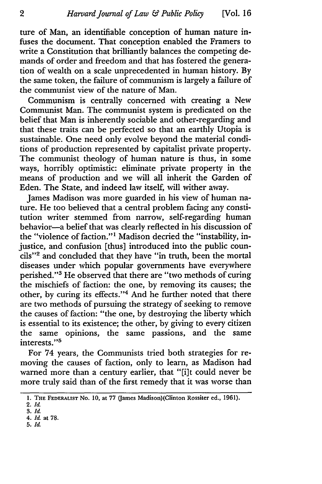ture of Man, an identifiable conception of human nature infuses the document. That conception enabled the Framers to write a Constitution that brilliantly balances the competing demands of order and freedom and that has fostered the generation of wealth on a scale unprecedented in human history. By the same token, the failure of communism is largely a failure of the communist view of the nature of Man.

Communism is centrally concerned with creating a New Communist Man. The communist system is predicated on the belief that Man is inherently sociable and other-regarding and that these traits can be perfected so that an earthly Utopia is sustainable. One need only evolve beyond the material conditions of production represented by capitalist private property. The communist theology of human nature is thus, in some ways, horribly optimistic: eliminate private property in the means of production and we will all inherit the Garden of Eden. The State, and indeed law itself, will wither away.

James Madison was more guarded in his view of human nature. He too believed that a central problem facing any constitution writer stemmed from narrow, self-regarding human behavior-a belief that was clearly reflected in his discussion of the "violence of faction."<sup>1</sup> Madison decried the "instability, injustice, and confusion [thus] introduced into the public councils"<sup>2</sup> and concluded that they have "in truth, been the mortal diseases under which popular governments have everywhere perished."3 He observed that there are "two methods of curing the mischiefs of faction: the one, by removing its causes; the other, by curing its effects."<sup>4</sup> And he further noted that there are two methods of pursuing the strategy of seeking to remove the causes of faction: "the one, by destroying the liberty which is essential to its existence; the other, by giving to every citizen the same opinions, the same passions, and the same interests."<sup>5</sup>

For 74 years, the Communists tried both strategies for removing the causes of faction, only to learn, as Madison had warned more than a century earlier, that "[i]t could never be more truly said than of the first remedy that it was worse than

**5.** *Id*

<sup>1.</sup> **THE FEDERALIST** No. **10,** at **77** (James Madison)(Clinton Rossiter ed., **1961).**

<sup>2.</sup> **Id**

<sup>3.</sup> *Id* 4. *Id* at **78.**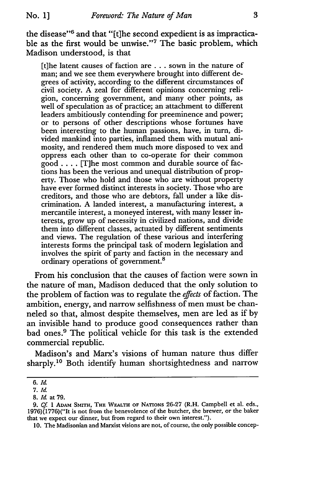**No. 1]**

the disease"<sup>6</sup> and that "[t]he second expedient is as impracticable as the first would be unwise."<sup>7</sup> The basic problem, which Madison understood, is that

[t]he latent causes of faction are.., sown in the nature of man; and we see them everywhere brought into different degrees of activity, according to the different circumstances of civil society. A zeal for different opinions concerning religion, concerning government, and many other points, as well of speculation as of practice; an attachment to different leaders ambitiously contending for preeminence and power; or to persons of other descriptions whose fortunes have been interesting to the human passions, have, in turn, divided mankind into parties, inflamed them with mutual animosity, and rendered them much more disposed to vex and oppress each other than to co-operate for their common good .... [T]he most common and durable source of factions has been the verious and unequal distribution of property. Those who hold and those who are without property have ever formed distinct interests in society. Those who are creditors, and those who are debtors, fall under a like discrimination. A landed interest, a manufacturing interest, a mercantile interest, a moneyed interest, with many lesser interests, grow up of necessity in civilized nations, and divide them into different classes, actuated by different sentiments and views. The regulation of these various and interfering interests forms the principal task of modern legislation and involves the spirit of party and faction in the necessary and ordinary operations of government.8

From his conclusion that the causes of faction were sown in the nature of man, Madison deduced that the only solution to the problem of faction was to regulate the *effects* of faction. The ambition, energy, and narrow selfishness of men must be channeled so that, almost despite themselves, men are led as if by an invisible hand to produce good consequences rather than bad ones.9 The political vehicle for this task is the extended commercial republic.

Madison's and Marx's visions of human nature thus differ sharply.<sup>10</sup> Both identify human shortsightedness and narrow

10. The Madisonian and Marxist visions are not, of course, the only possible concep-

*<sup>6.</sup> Id.*

*<sup>7.</sup> Id.*

*<sup>8.</sup> Id.* at **79.**

*<sup>9.</sup> Cf 1* **ADAM SMITH, THE WEALTH** OF NATIONs **26-27** (R.H. Campbell et al. eds., 1976)(1776)("It is not from the benevolence of the butcher, the brewer, or the baker that we expect our dinner, but from regard to their own interest.").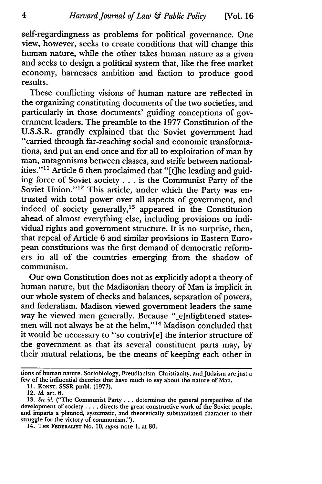self-regardingness as problems for political governance. One view, however, seeks to create conditions that will change this human nature, while the other takes human nature as a given and seeks to design a political system that, like the free market economy, harnesses ambition and faction to produce good results.

These conflicting visions of human nature are reflected in the organizing constituting documents of the two societies, and particularly in those documents' guiding conceptions of government leaders. The preamble to the 1977 Constitution of the U.S.S.R. grandly explained that the Soviet government had "carried through far-reaching social and economic transformations, and put an end once and for all to exploitation of man by man, antagonisms between classes, and strife between nationalities."<sup>11</sup> Article 6 then proclaimed that "[t]he leading and guiding force of Soviet society . . . is the Communist Party of the Soviet Union."<sup>12</sup> This article, under which the Party was entrusted with total power over all aspects of government, and indeed of society generally,<sup>13</sup> appeared in the Constitution ahead of almost everything else, including provisions on individual rights and government structure. It is no surprise, then, that repeal of Article 6 and similar provisions in Eastern European constitutions was the first demand of democratic reformers in all of the countries emerging from the shadow of communism.

Our own Constitution does not as explicitly adopt a theory of human nature, but the Madisonian theory of Man is implicit in our whole system of checks and balances, separation of powers, and federalism. Madison viewed government leaders the same way he viewed men generally. Because "[e]nlightened statesmen will not always be at the helm,"<sup>14</sup> Madison concluded that it would be necessary to "so contriv[e] the interior structure of the government as that its several constituent parts may, by their mutual relations, be the means of keeping each other in

tions of human nature. Sociobiology, Freudianism, Christianity, and Judaism are just a few of the influential theories that have much to say about the nature of Man.

<sup>11.</sup> KONST. SSSR pmbl. (1977).

<sup>12.</sup> *Id.* art. 6.

<sup>13.</sup> *See id.* ("The Communist Party ... determines the general perspectives of the development of society .... directs the great constructive work of the Soviet people, and imparts a planned, systematic, and theoretically substantiated character to their struggle for the victory of communism.").

<sup>14.</sup> THE **FEDERALiST** No. *10, supra* note **1,** at 80.